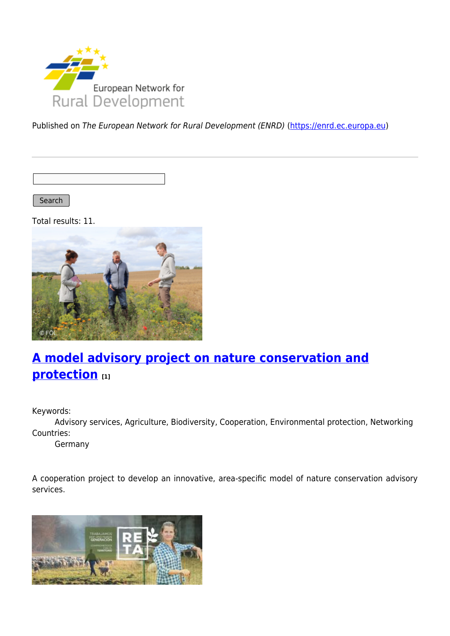

Published on The European Network for Rural Development (ENRD) [\(https://enrd.ec.europa.eu](https://enrd.ec.europa.eu))

Search

Total results: 11.



# **[A model advisory project on nature conservation and](https://enrd.ec.europa.eu/projects-practice/model-advisory-project-nature-conservation-and-protection_en) [protection](https://enrd.ec.europa.eu/projects-practice/model-advisory-project-nature-conservation-and-protection_en) [1]**

Keywords:

Advisory services, Agriculture, Biodiversity, Cooperation, Environmental protection, Networking Countries:

Germany

A cooperation project to develop an innovative, area-specific model of nature conservation advisory services.

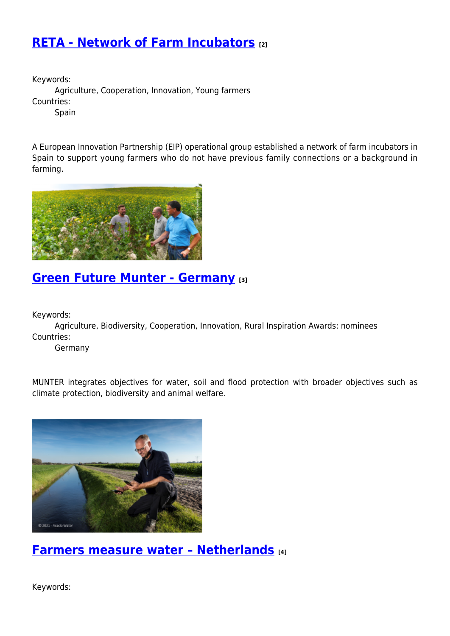## **[RETA - Network of Farm Incubators](https://enrd.ec.europa.eu/projects-practice/reta-network-farm-incubators_en) [2]**

Keywords:

Agriculture, Cooperation, Innovation, Young farmers Countries:

**Spain** 

A European Innovation Partnership (EIP) operational group established a network of farm incubators in Spain to support young farmers who do not have previous family connections or a background in farming.



## **[Green Future Munter - Germany](https://enrd.ec.europa.eu/projects-practice/green-future-munter-germany_en) [3]**

Keywords:

Agriculture, Biodiversity, Cooperation, Innovation, Rural Inspiration Awards: nominees Countries:

Germany

MUNTER integrates objectives for water, soil and flood protection with broader objectives such as climate protection, biodiversity and animal welfare.



**[Farmers measure water – Netherlands](https://enrd.ec.europa.eu/projects-practice/farmers-measure-water-netherlands_en) [4]**

Keywords: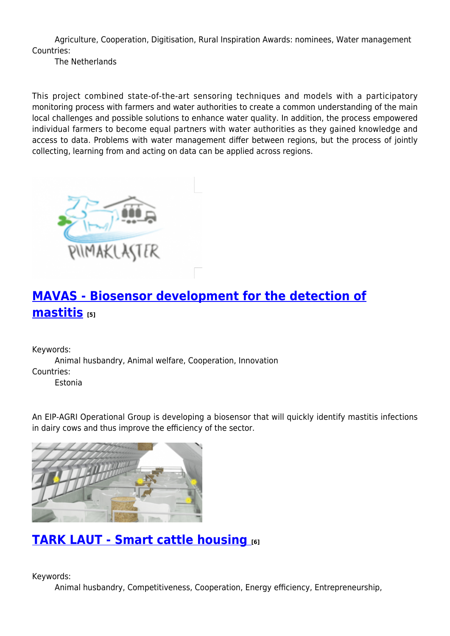Agriculture, Cooperation, Digitisation, Rural Inspiration Awards: nominees, Water management Countries:

The Netherlands

This project combined state-of-the-art sensoring techniques and models with a participatory monitoring process with farmers and water authorities to create a common understanding of the main local challenges and possible solutions to enhance water quality. In addition, the process empowered individual farmers to become equal partners with water authorities as they gained knowledge and access to data. Problems with water management differ between regions, but the process of jointly collecting, learning from and acting on data can be applied across regions.



## **[MAVAS - Biosensor development for the detection of](https://enrd.ec.europa.eu/projects-practice/mavas-biosensor-development-detection-mastitis_en) [mastitis](https://enrd.ec.europa.eu/projects-practice/mavas-biosensor-development-detection-mastitis_en) [5]**

Keywords:

Animal husbandry, Animal welfare, Cooperation, Innovation Countries:

Estonia

An EIP-AGRI Operational Group is developing a biosensor that will quickly identify mastitis infections in dairy cows and thus improve the efficiency of the sector.



## **[TARK LAUT - Smart cattle housing](https://enrd.ec.europa.eu/projects-practice/tark-laut-smart-cattle-housing_en) [6]**

Keywords:

Animal husbandry, Competitiveness, Cooperation, Energy efficiency, Entrepreneurship,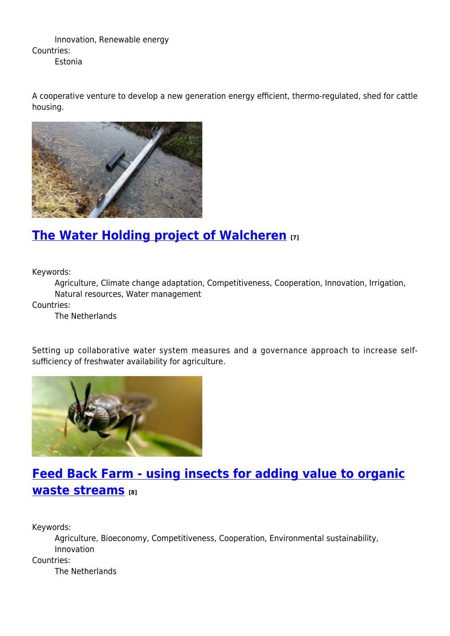Innovation, Renewable energy Countries: Estonia

A cooperative venture to develop a new generation energy efficient, thermo-regulated, shed for cattle housing.



## **[The Water Holding project of Walcheren](https://enrd.ec.europa.eu/projects-practice/water-holding-project-walcheren_en) [7]**

Keywords:

Agriculture, Climate change adaptation, Competitiveness, Cooperation, Innovation, Irrigation, Natural resources, Water management

Countries:

The Netherlands

Setting up collaborative water system measures and a governance approach to increase selfsufficiency of freshwater availability for agriculture.



## **[Feed Back Farm - using insects for adding value to organic](https://enrd.ec.europa.eu/projects-practice/feed-back-farm-using-insects-adding-value-organic-waste-streams_en) [waste streams](https://enrd.ec.europa.eu/projects-practice/feed-back-farm-using-insects-adding-value-organic-waste-streams_en) [8]**

Keywords:

Agriculture, Bioeconomy, Competitiveness, Cooperation, Environmental sustainability, Innovation Countries: The Netherlands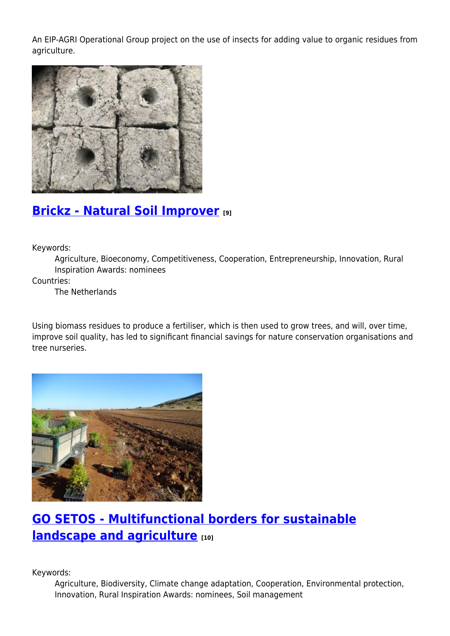An EIP-AGRI Operational Group project on the use of insects for adding value to organic residues from agriculture.



#### **[Brickz - Natural Soil Improver](https://enrd.ec.europa.eu/projects-practice/brickz-natural-soil-improver_en) [9]**

Keywords:

Agriculture, Bioeconomy, Competitiveness, Cooperation, Entrepreneurship, Innovation, Rural Inspiration Awards: nominees

Countries:

The Netherlands

Using biomass residues to produce a fertiliser, which is then used to grow trees, and will, over time, improve soil quality, has led to significant financial savings for nature conservation organisations and tree nurseries.



## **[GO SETOS - Multifunctional borders for sustainable](https://enrd.ec.europa.eu/projects-practice/go-setos-multifunctional-borders-sustainable-landscape-and-agriculture_en) [landscape and agriculture](https://enrd.ec.europa.eu/projects-practice/go-setos-multifunctional-borders-sustainable-landscape-and-agriculture_en) [10]**

Keywords:

Agriculture, Biodiversity, Climate change adaptation, Cooperation, Environmental protection, Innovation, Rural Inspiration Awards: nominees, Soil management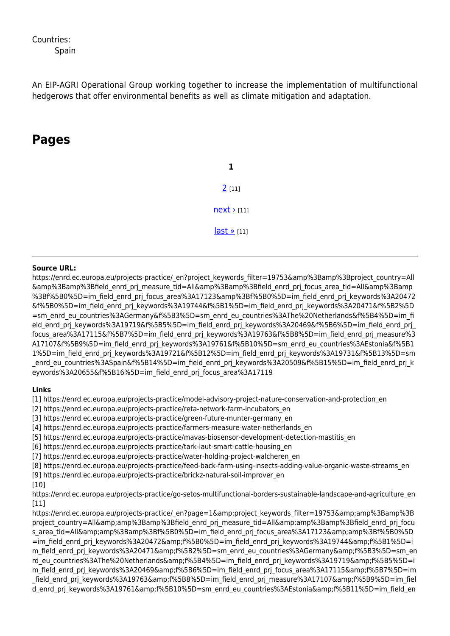#### Countries:

An EIP-AGRI Operational Group working together to increase the implementation of multifunctional hedgerows that offer environmental benefits as well as climate mitigation and adaptation.

#### **Pages**

**1** [2](https://enrd.ec.europa.eu/projects-practice/_en?page=1&project_keywords_filter=19753&%3Bamp%3Bproject_country=All&%3Bamp%3Bfield_enrd_prj_measure_tid=All&%3Bamp%3Bfield_enrd_prj_focus_area_tid=All&%3Bamp%3Bf%5B0%5D=im_field_enrd_prj_focus_area%3A17123&%3Bf%5B0%5D=im_field_enrd_prj_keywords%3A20472&f%5B0%5D=im_field_enrd_prj_keywords%3A19744&f%5B1%5D=im_field_enrd_prj_keywords%3A20471&f%5B2%5D=sm_enrd_eu_countries%3AGermany&f%5B3%5D=sm_enrd_eu_countries%3AThe%20Netherlands&f%5B4%5D=im_field_enrd_prj_keywords%3A19719&f%5B5%5D=im_field_enrd_prj_keywords%3A20469&f%5B6%5D=im_field_enrd_prj_focus_area%3A17115&f%5B7%5D=im_field_enrd_prj_keywords%3A19763&f%5B8%5D=im_field_enrd_prj_measure%3A17107&f%5B9%5D=im_field_enrd_prj_keywords%3A19761&f%5B10%5D=sm_enrd_eu_countries%3AEstonia&f%5B11%5D=im_field_enrd_prj_keywords%3A19721&f%5B12%5D=im_field_enrd_prj_keywords%3A19731&f%5B13%5D=sm_enrd_eu_countries%3ASpain&f%5B14%5D=im_field_enrd_prj_keywords%3A20509&f%5B15%5D=im_field_enrd_prj_keywords%3A20655&f%5B16%5D=im_field_enrd_prj_focus_area%3A17119) [11]  $next$  [11] [last »](https://enrd.ec.europa.eu/projects-practice/_en?page=1&project_keywords_filter=19753&%3Bamp%3Bproject_country=All&%3Bamp%3Bfield_enrd_prj_measure_tid=All&%3Bamp%3Bfield_enrd_prj_focus_area_tid=All&%3Bamp%3Bf%5B0%5D=im_field_enrd_prj_focus_area%3A17123&%3Bf%5B0%5D=im_field_enrd_prj_keywords%3A20472&f%5B0%5D=im_field_enrd_prj_keywords%3A19744&f%5B1%5D=im_field_enrd_prj_keywords%3A20471&f%5B2%5D=sm_enrd_eu_countries%3AGermany&f%5B3%5D=sm_enrd_eu_countries%3AThe%20Netherlands&f%5B4%5D=im_field_enrd_prj_keywords%3A19719&f%5B5%5D=im_field_enrd_prj_keywords%3A20469&f%5B6%5D=im_field_enrd_prj_focus_area%3A17115&f%5B7%5D=im_field_enrd_prj_keywords%3A19763&f%5B8%5D=im_field_enrd_prj_measure%3A17107&f%5B9%5D=im_field_enrd_prj_keywords%3A19761&f%5B10%5D=sm_enrd_eu_countries%3AEstonia&f%5B11%5D=im_field_enrd_prj_keywords%3A19721&f%5B12%5D=im_field_enrd_prj_keywords%3A19731&f%5B13%5D=sm_enrd_eu_countries%3ASpain&f%5B14%5D=im_field_enrd_prj_keywords%3A20509&f%5B15%5D=im_field_enrd_prj_keywords%3A20655&f%5B16%5D=im_field_enrd_prj_focus_area%3A17119) [11]

#### **Source URL:**

https://enrd.ec.europa.eu/projects-practice/\_en?project\_keywords\_filter=19753&amp%3Bamp%3Bproject\_country=All &amp%3Bamp%3Bfield\_enrd\_prj\_measure\_tid=All&amp%3Bamp%3Bfield\_enrd\_prj\_focus\_area\_tid=All&amp%3Bamp %3Bf%5B0%5D=im\_field\_enrd\_prj\_focus\_area%3A17123&amp%3Bf%5B0%5D=im\_field\_enrd\_prj\_keywords%3A20472 &f%5B0%5D=im\_field\_enrd\_prj\_keywords%3A19744&f%5B1%5D=im\_field\_enrd\_prj\_keywords%3A20471&f%5B2%5D =sm\_enrd\_eu\_countries%3AGermany&f%5B3%5D=sm\_enrd\_eu\_countries%3AThe%20Netherlands&f%5B4%5D=im\_fi eld enrd prj keywords%3A19719&f%5B5%5D=im field enrd prj keywords%3A20469&f%5B6%5D=im field enrd prj focus area%3A17115&f%5B7%5D=im field enrd prj keywords%3A19763&f%5B8%5D=im field enrd prj measure%3 A17107&f%5B9%5D=im\_field\_enrd\_prj\_keywords%3A19761&f%5B10%5D=sm\_enrd\_eu\_countries%3AEstonia&f%5B1 1%5D=im\_field\_enrd\_prj\_keywords%3A19721&f%5B12%5D=im\_field\_enrd\_prj\_keywords%3A19731&f%5B13%5D=sm enrd eu countries%3ASpain&f%5B14%5D=im field enrd prj keywords%3A20509&f%5B15%5D=im field enrd prj k eywords%3A20655&f%5B16%5D=im\_field\_enrd\_prj\_focus\_area%3A17119

#### **Links**

[1] https://enrd.ec.europa.eu/projects-practice/model-advisory-project-nature-conservation-and-protection\_en

[2] https://enrd.ec.europa.eu/projects-practice/reta-network-farm-incubators\_en

[3] https://enrd.ec.europa.eu/projects-practice/green-future-munter-germany\_en

[4] https://enrd.ec.europa.eu/projects-practice/farmers-measure-water-netherlands\_en

[5] https://enrd.ec.europa.eu/projects-practice/mavas-biosensor-development-detection-mastitis\_en

[6] https://enrd.ec.europa.eu/projects-practice/tark-laut-smart-cattle-housing\_en

[7] https://enrd.ec.europa.eu/projects-practice/water-holding-project-walcheren\_en

[8] https://enrd.ec.europa.eu/projects-practice/feed-back-farm-using-insects-adding-value-organic-waste-streams\_en

[9] https://enrd.ec.europa.eu/projects-practice/brickz-natural-soil-improver\_en

#### [10]

https://enrd.ec.europa.eu/projects-practice/go-setos-multifunctional-borders-sustainable-landscape-and-agriculture\_en [11]

https://enrd.ec.europa.eu/projects-practice/\_en?page=1&project\_keywords\_filter=19753&amp%3Bamp%3B project\_country=All&amp%3Bamp%3Bfield\_enrd\_prj\_measure\_tid=All&amp%3Bamp%3Bfield\_enrd\_prj\_focu s\_area\_tid=All&amp%3Bamp%3Bf%5B0%5D=im\_field\_enrd\_prj\_focus\_area%3A17123&amp%3Bf%5B0%5D =im\_field\_enrd\_prj\_keywords%3A20472&f%5B0%5D=im\_field\_enrd\_prj\_keywords%3A19744&f%5B1%5D=i m\_field\_enrd\_prj\_keywords%3A20471&f%5B2%5D=sm\_enrd\_eu\_countries%3AGermany&f%5B3%5D=sm\_en rd eu countries%3AThe%20Netherlands&f%5B4%5D=im field enrd prj keywords%3A19719&f%5B5%5D=i m field enrd prj keywords%3A20469&f%5B6%5D=im field enrd prj\_focus\_area%3A17115&f%5B7%5D=im field enrd prj keywords%3A19763&f%5B8%5D=im field enrd prj measure%3A17107&f%5B9%5D=im fiel d enrd prj keywords%3A19761&f%5B10%5D=sm enrd eu countries%3AEstonia&f%5B11%5D=im field en